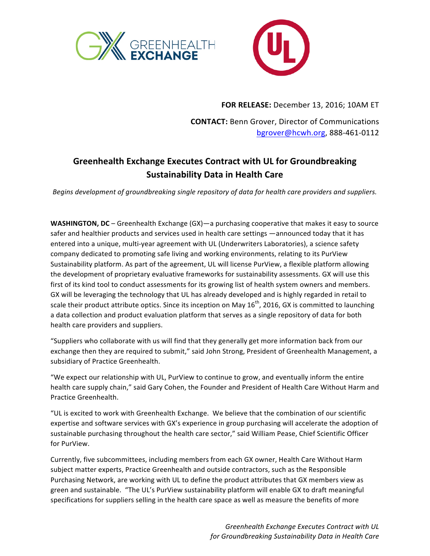



**FOR RELEASE:** December 13, 2016; 10AM ET

**CONTACT:** Benn Grover, Director of Communications [bgrover@hcwh.org](mailto:bgrover@hcwh.org), 888-461-0112

## **Greenhealth Exchange Executes Contract with UL for Groundbreaking Sustainability Data in Health Care**

*Begins development of groundbreaking single repository of data for health care providers and suppliers.* 

**WASHINGTON, DC** – Greenhealth Exchange (GX)—a purchasing cooperative that makes it easy to source safer and healthier products and services used in health care settings —announced today that it has entered into a unique, multi-year agreement with UL (Underwriters Laboratories), a science safety company dedicated to promoting safe living and working environments, relating to its PurView Sustainability platform. As part of the agreement, UL will license PurView, a flexible platform allowing the development of proprietary evaluative frameworks for sustainability assessments. GX will use this first of its kind tool to conduct assessments for its growing list of health system owners and members. GX will be leveraging the technology that UL has already developed and is highly regarded in retail to scale their product attribute optics. Since its inception on May 16<sup>th</sup>, 2016, GX is committed to launching a data collection and product evaluation platform that serves as a single repository of data for both health care providers and suppliers.

"Suppliers who collaborate with us will find that they generally get more information back from our exchange then they are required to submit," said John Strong, President of Greenhealth Management, a subsidiary of Practice Greenhealth.

"We expect our relationship with UL, PurView to continue to grow, and eventually inform the entire health care supply chain," said Gary Cohen, the Founder and President of Health Care Without Harm and Practice Greenhealth.

"UL is excited to work with Greenhealth Exchange. We believe that the combination of our scientific expertise and software services with GX's experience in group purchasing will accelerate the adoption of sustainable purchasing throughout the health care sector," said William Pease, Chief Scientific Officer for PurView.

Currently, five subcommittees, including members from each GX owner, Health Care Without Harm subject matter experts, Practice Greenhealth and outside contractors, such as the Responsible Purchasing Network, are working with UL to define the product attributes that GX members view as green and sustainable. "The UL's PurView sustainability platform will enable GX to draft meaningful specifications for suppliers selling in the health care space as well as measure the benefits of more